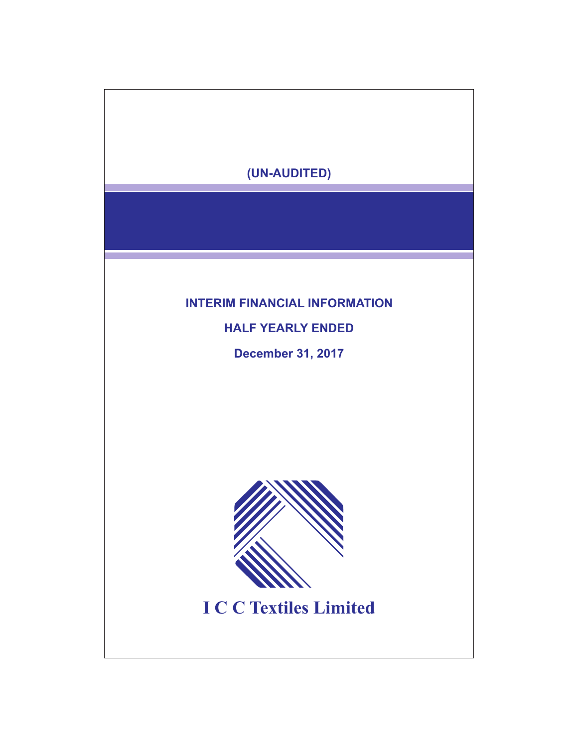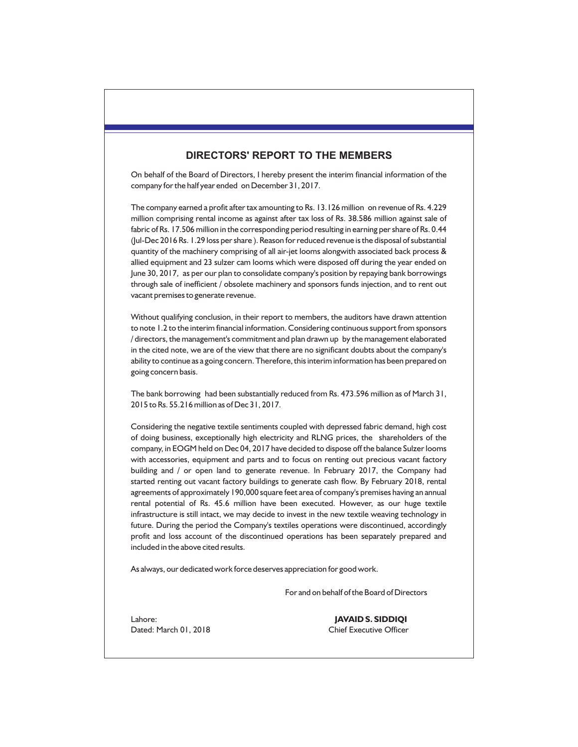# **DIRECTORS' REPORT TO THE MEMBERS**

On behalf of the Board of Directors, I hereby present the interim financial information of the company for the half year ended on December 31, 2017.

The company earned a profit after tax amounting to Rs. 13.126 million on revenue of Rs. 4.229 million comprising rental income as against after tax loss of Rs. 38.586 million against sale of fabric of Rs. 17.506 million in the corresponding period resulting in earning per share of Rs. 0.44 (Jul-Dec 2016 Rs. 1.29 loss per share ). Reason for reduced revenue is the disposal of substantial quantity of the machinery comprising of all air-jet looms alongwith associated back process & allied equipment and 23 sulzer cam looms which were disposed off during the year ended on June 30, 2017, as per our plan to consolidate company's position by repaying bank borrowings through sale of inefficient / obsolete machinery and sponsors funds injection, and to rent out vacant premises to generate revenue.

Without qualifying conclusion, in their report to members, the auditors have drawn attention to note 1.2 to the interim financial information. Considering continuous support from sponsors / directors, the management's commitment and plan drawn up by the management elaborated in the cited note, we are of the view that there are no significant doubts about the company's ability to continue as a going concern. Therefore, this interim information has been prepared on going concern basis.

The bank borrowing had been substantially reduced from Rs. 473.596 million as of March 31, 2015 to Rs. 55.216 million as of Dec 31, 2017.

Considering the negative textile sentiments coupled with depressed fabric demand, high cost of doing business, exceptionally high electricity and RLNG prices, the shareholders of the company, in EOGM held on Dec 04, 2017 have decided to dispose off the balance Sulzer looms with accessories, equipment and parts and to focus on renting out precious vacant factory building and / or open land to generate revenue. In February 2017, the Company had started renting out vacant factory buildings to generate cash flow. By February 2018, rental agreements of approximately 190,000 square feet area of company's premises having an annual rental potential of Rs. 45.6 million have been executed. However, as our huge textile infrastructure is still intact, we may decide to invest in the new textile weaving technology in future. During the period the Company's textiles operations were discontinued, accordingly profit and loss account of the discontinued operations has been separately prepared and included in the above cited results.

As always, our dedicated work force deserves appreciation for good work.

For and on behalf of the Board of Directors

Lahore: **JAVAID S. SIDDIQI**

Dated: March 01, 2018 Chief Executive Officer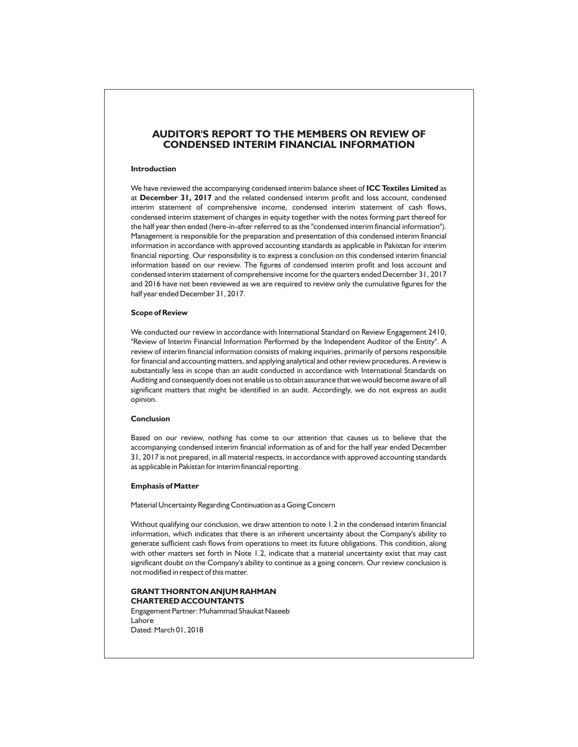## **AUDITOR'S REPORT TO THE MEMBERS ON REVIEW OF CONDENSED INTERIM FINANCIAL INFORMATION**

#### **Introduction**

We have reviewed the accompanying condensed interim balance sheet of **ICC Textiles Limited** as at **December 31, 2017** and the related condensed interim profit and loss account, condensed interim statement of comprehensive income, condensed interim statement of cash flows, condensed interim statement of changes in equity together with the notes forming part thereof for the half year then ended (here-in-after referred to as the "condensed interim financial information"). Management is responsible for the preparation and presentation of this condensed interim financial information in accordance with approved accounting standards as applicable in Pakistan for interim financial reporting. Our responsibility is to express a conclusion on this condensed interim financial information based on our review. The figures of condensed interim profit and loss account and condensed interim statement of comprehensive income for the quarters ended December 31, 2017 and 2016 have not been reviewed as we are required to review only the cumulative figures for the half year ended December 31, 2017.

#### **Scope of Review**

We conducted our review in accordance with International Standard on Review Engagement 2410, "Review of Interim Financial Information Performed by the Independent Auditor of the Entity". A review of interim financial information consists of making inquiries, primarily of persons responsible for financial and accounting matters, and applying analytical and other review procedures. A review is substantially less in scope than an audit conducted in accordance with International Standards on Auditing and consequently does not enable us to obtain assurance that we would become aware of all significant matters that might be identified in an audit. Accordingly, we do not express an audit opinion.

#### **Conclusion**

Based on our review, nothing has come to our attention that causes us to believe that the accompanying condensed interim financial information as of and for the half year ended December 31, 2017 is not prepared, in all material respects, in accordance with approved accounting standards as applicable in Pakistan for interim financial reporting.

#### **Emphasis of Matter**

Material Uncertainty Regarding Continuation as a Going Concern

Without qualifying our conclusion, we draw attention to note 1.2 in the condensed interim financial information, which indicates that there is an inherent uncertainty about the Company's ability to generate sufficient cash flows from operations to meet its future obligations. This condition, along with other matters set forth in Note 1.2, indicate that a material uncertainty exist that may cast significant doubt on the Company's ability to continue as a going concern. Our review conclusion is not modified in respect of this matter.

# **GRANT THORNTON ANJUM RAHMAN CHARTERED ACCOUNTANTS**

Engagement Partner: Muhammad Shaukat Naseeb Lahore Dated: March 01, 2018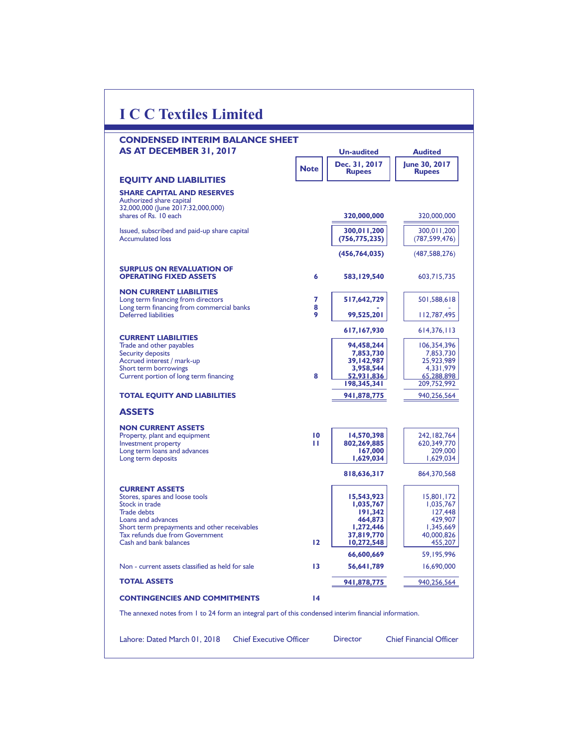| <b>CONDENSED INTERIM BALANCE SHEET</b>                                                                |             |                                |                                |
|-------------------------------------------------------------------------------------------------------|-------------|--------------------------------|--------------------------------|
| AS AT DECEMBER 31, 2017                                                                               |             | <b>Un-audited</b>              | <b>Audited</b>                 |
|                                                                                                       | <b>Note</b> | Dec. 31, 2017<br><b>Rupees</b> | June 30, 2017<br><b>Rupees</b> |
| <b>EQUITY AND LIABILITIES</b>                                                                         |             |                                |                                |
| <b>SHARE CAPITAL AND RESERVES</b><br>Authorized share capital                                         |             |                                |                                |
| 32,000,000 (June 2017:32,000,000)<br>shares of Rs. 10 each                                            |             | 320,000,000                    | 320,000,000                    |
|                                                                                                       |             | 300,011,200                    | 300,011,200                    |
| Issued, subscribed and paid-up share capital<br><b>Accumulated loss</b>                               |             | (756, 775, 235)                | (787, 599, 476)                |
|                                                                                                       |             | (456, 764, 035)                | (487, 588, 276)                |
| <b>SURPLUS ON REVALUATION OF</b>                                                                      |             |                                |                                |
| <b>OPERATING FIXED ASSETS</b>                                                                         | 6           | 583,129,540                    | 603,715,735                    |
| <b>NON CURRENT LIABILITIES</b>                                                                        |             |                                |                                |
| Long term financing from directors<br>Long term financing from commercial banks                       | 7<br>8      | 517,642,729                    | 501,588,618                    |
| Deferred liabilities                                                                                  | 9           | 99,525,201                     | 112,787,495                    |
| <b>CURRENT LIABILITIES</b>                                                                            |             | 617,167,930                    | 614, 376, 113                  |
| Trade and other payables                                                                              |             | 94.458.244                     | 106,354,396                    |
| <b>Security deposits</b><br>Accrued interest / mark-up                                                |             | 7,853,730<br>39,142,987        | 7,853,730<br>25,923,989        |
| Short term borrowings                                                                                 |             | 3,958,544                      | 4,331,979                      |
| Current portion of long term financing                                                                | 8           | 52,931,836                     | 65,288,898                     |
|                                                                                                       |             | 198,345,341                    | 209,752,992                    |
| <b>TOTAL EQUITY AND LIABILITIES</b>                                                                   |             | 941,878,775                    | 940,256,564                    |
| <b>ASSETS</b>                                                                                         |             |                                |                                |
| <b>NON CURRENT ASSETS</b>                                                                             |             |                                |                                |
| Property, plant and equipment<br><b>Investment property</b>                                           | 10<br>п     | 14,570,398<br>802,269,885      | 242, 182, 764<br>620,349,770   |
| Long term loans and advances                                                                          |             | 167,000                        | 209,000                        |
| Long term deposits                                                                                    |             | 1,629,034                      | 1,629,034                      |
|                                                                                                       |             | 818,636,317                    | 864,370,568                    |
| <b>CURRENT ASSETS</b>                                                                                 |             |                                |                                |
| Stores, spares and loose tools<br>Stock in trade                                                      |             | 15,543,923<br>1,035,767        | 15,801,172<br>1,035,767        |
| <b>Trade debts</b>                                                                                    |             | 191,342                        | 127.448                        |
| Loans and advances                                                                                    |             | 464,873                        | 429,907                        |
| Short term prepayments and other receivables<br>Tax refunds due from Government                       |             | 1,272,446                      | 1,345,669<br>40,000,826        |
| Cash and bank balances                                                                                | $12 \,$     | 37,819,770<br>10,272,548       | 455,207                        |
|                                                                                                       |             | 66,600,669                     | 59,195,996                     |
| Non - current assets classified as held for sale                                                      | 13          | 56,641,789                     | 16,690,000                     |
| <b>TOTAL ASSETS</b>                                                                                   |             | 941,878,775                    | 940,256,564                    |
| <b>CONTINGENCIES AND COMMITMENTS</b>                                                                  | 14          |                                |                                |
| The annexed notes from 1 to 24 form an integral part of this condensed interim financial information. |             |                                |                                |

 $\Gamma$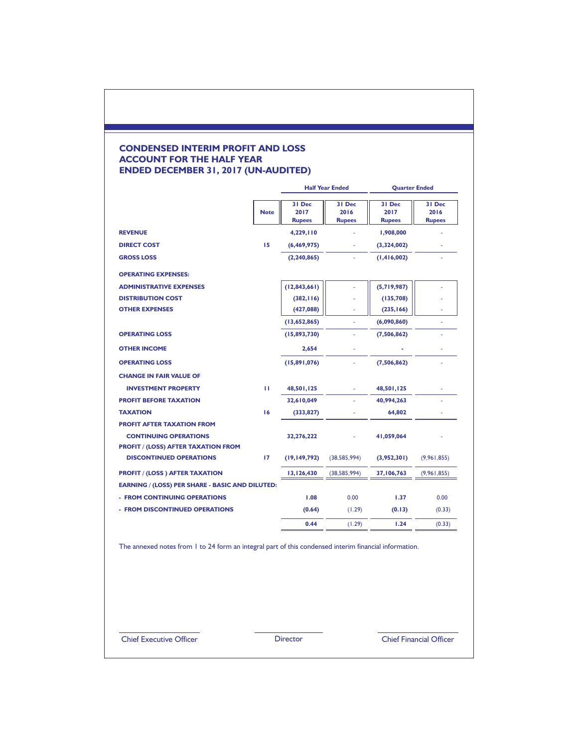## **CONDENSED INTERIM PROFIT AND LOSS ACCOUNT FOR THE HALF YEAR ENDED DECEMBER 31, 2017 (UN-AUDITED)**

|                                                                                                                 |             |                                 | <b>Half Year Ended</b>          | <b>Quarter Ended</b>            |                                 |
|-----------------------------------------------------------------------------------------------------------------|-------------|---------------------------------|---------------------------------|---------------------------------|---------------------------------|
|                                                                                                                 | <b>Note</b> | 31 Dec<br>2017<br><b>Rupees</b> | 31 Dec<br>2016<br><b>Rupees</b> | 31 Dec<br>2017<br><b>Rupees</b> | 31 Dec<br>2016<br><b>Rupees</b> |
| <b>REVENUE</b>                                                                                                  |             | 4,229,110                       |                                 | 1,908,000                       |                                 |
| <b>DIRECT COST</b>                                                                                              | 15          | (6,469,975)                     | ×.                              | (3,324,002)                     |                                 |
| <b>GROSS LOSS</b>                                                                                               |             | (2, 240, 865)                   |                                 | (1,416,002)                     |                                 |
| <b>OPERATING EXPENSES:</b>                                                                                      |             |                                 |                                 |                                 |                                 |
| <b>ADMINISTRATIVE EXPENSES</b>                                                                                  |             | (12,843,661)                    |                                 | (5,719,987)                     |                                 |
| <b>DISTRIBUTION COST</b>                                                                                        |             | (382, 116)                      |                                 | (135,708)                       |                                 |
| <b>OTHER EXPENSES</b>                                                                                           |             | (427,088)                       |                                 | (235, 166)                      |                                 |
|                                                                                                                 |             | (13,652,865)                    | í.                              | (6,090,860)                     |                                 |
| <b>OPERATING LOSS</b>                                                                                           |             | (15,893,730)                    | ä,                              | (7,506,862)                     | ٠                               |
| <b>OTHER INCOME</b>                                                                                             |             | 2,654                           | ä,                              |                                 |                                 |
| <b>OPERATING LOSS</b>                                                                                           |             | (15,891,076)                    |                                 | (7,506,862)                     |                                 |
| <b>CHANGE IN FAIR VALUE OF</b>                                                                                  |             |                                 |                                 |                                 |                                 |
| <b>INVESTMENT PROPERTY</b>                                                                                      | ш           | 48,501,125                      |                                 | 48,501,125                      |                                 |
| <b>PROFIT BEFORE TAXATION</b>                                                                                   |             | 32,610,049                      |                                 | 40,994,263                      |                                 |
| <b>TAXATION</b>                                                                                                 | 16          | (333, 827)                      |                                 | 64,802                          |                                 |
| <b>PROFIT AFTER TAXATION FROM</b><br><b>CONTINUING OPERATIONS</b><br><b>PROFIT / (LOSS) AFTER TAXATION FROM</b> |             | 32,276,222                      |                                 | 41,059,064                      |                                 |
| <b>DISCONTINUED OPERATIONS</b>                                                                                  | 17          | (19, 149, 792)                  | (38, 585, 994)                  | (3,952,301)                     | (9,961,855)                     |
| <b>PROFIT / (LOSS) AFTER TAXATION</b>                                                                           |             | 13,126,430                      | (38, 585, 994)                  | 37,106,763                      | (9,961,855)                     |
| EARNING / (LOSS) PER SHARE - BASIC AND DILUTED:                                                                 |             |                                 |                                 |                                 |                                 |
| - FROM CONTINUING OPERATIONS                                                                                    |             | 1.08                            | 0.00                            | 1.37                            | 0.00                            |
| <b>FROM DISCONTINUED OPERATIONS</b>                                                                             |             | (0.64)                          | (1.29)                          | (0.13)                          | (0.33)                          |
|                                                                                                                 |             | 0.44                            | (1.29)                          | 1.24                            | (0.33)                          |

The annexed notes from 1 to 24 form an integral part of this condensed interim financial information.

Chief Executive Officer Director Chief Financial Officer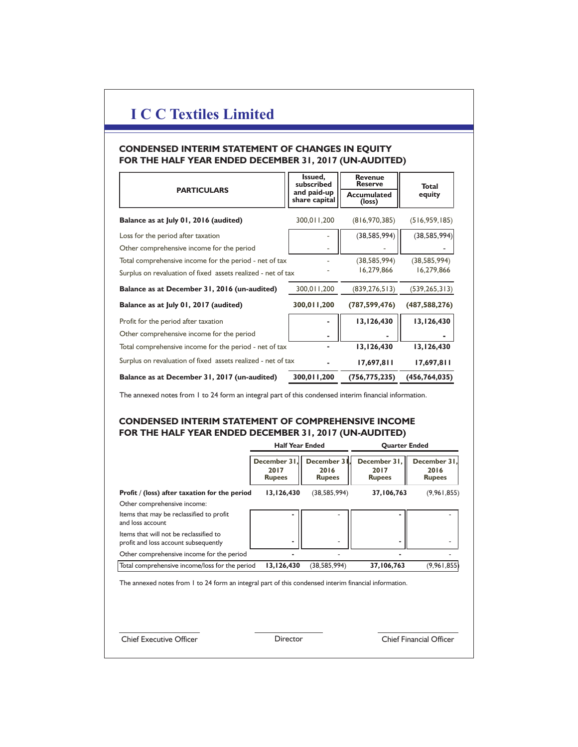## **CONDENSED INTERIM STATEMENT OF CHANGES IN EQUITY FOR THE HALF YEAR ENDED DECEMBER 31, 2017 (UN-AUDITED)**

| <b>PARTICULARS</b>                                           | Issued,<br>subscribed        | <b>Revenue</b><br><b>Reserve</b> | <b>Total</b>    |
|--------------------------------------------------------------|------------------------------|----------------------------------|-----------------|
|                                                              | and paid-up<br>share capital | <b>Accumulated</b><br>(loss)     | equity          |
| Balance as at July 01, 2016 (audited)                        | 300,011,200                  | (816, 970, 385)                  | (516, 959, 185) |
| Loss for the period after taxation                           |                              | (38, 585, 994)                   | (38, 585, 994)  |
| Other comprehensive income for the period                    |                              |                                  |                 |
| Total comprehensive income for the period - net of tax       |                              | (38, 585, 994)                   | (38, 585, 994)  |
| Surplus on revaluation of fixed assets realized - net of tax |                              | 16,279,866                       | 16,279,866      |
| Balance as at December 31, 2016 (un-audited)                 | 300,011,200                  | (839, 276, 513)                  | (539, 265, 313) |
| Balance as at July 01, 2017 (audited)                        | 300,011,200                  | (787, 599, 476)                  | (487, 588, 276) |
| Profit for the period after taxation                         |                              | 13,126,430                       | 13,126,430      |
| Other comprehensive income for the period                    |                              |                                  |                 |
| Total comprehensive income for the period - net of tax       |                              | 13,126,430                       | 13,126,430      |
| Surplus on revaluation of fixed assets realized - net of tax |                              | 17,697,811                       | 17,697,811      |
| Balance as at December 31, 2017 (un-audited)                 | 300,011,200                  | (756, 775, 235)                  | (456, 764, 035) |

The annexed notes from 1 to 24 form an integral part of this condensed interim financial information.

# **CONDENSED INTERIM STATEMENT OF COMPREHENSIVE INCOME FOR THE HALF YEAR ENDED DECEMBER 31, 2017 (UN-AUDITED)**

|                                                                                                       | <b>Half Year Ended</b>                |                                     | <b>Quarter Ended</b>                  |                                       |  |  |
|-------------------------------------------------------------------------------------------------------|---------------------------------------|-------------------------------------|---------------------------------------|---------------------------------------|--|--|
|                                                                                                       | December 31.<br>2017<br><b>Rupees</b> | December 3<br>2016<br><b>Rupees</b> | December 31,<br>2017<br><b>Rupees</b> | December 31.<br>2016<br><b>Rupees</b> |  |  |
| Profit / (loss) after taxation for the period                                                         | 13,126,430                            | (38, 585, 994)                      | 37,106,763                            | (9, 961, 855)                         |  |  |
| Other comprehensive income:                                                                           |                                       |                                     |                                       |                                       |  |  |
| Items that may be reclassified to profit<br>and loss account                                          |                                       |                                     |                                       |                                       |  |  |
| Items that will not be reclassified to<br>profit and loss account subsequently                        | ۰                                     |                                     |                                       |                                       |  |  |
| Other comprehensive income for the period                                                             |                                       |                                     |                                       |                                       |  |  |
| Total comprehensive income/loss for the period                                                        | 13,126,430                            | (38, 585, 994)                      | 37,106,763                            | (9,961,855)                           |  |  |
| The annexed notes from 1 to 24 form an integral part of this condensed interim financial information. |                                       |                                     |                                       |                                       |  |  |
| <b>Chief Executive Officer</b>                                                                        | Director                              |                                     |                                       | <b>Chief Financial Officer</b>        |  |  |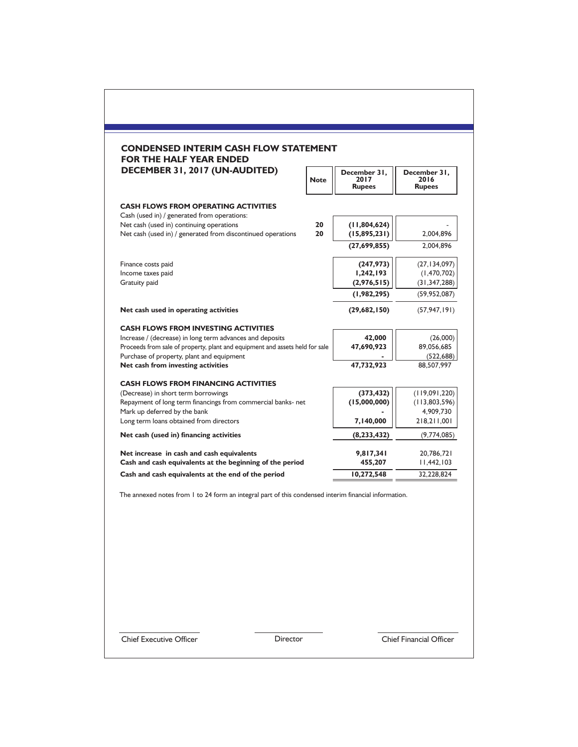|                                                                                                         | <b>Note</b> | December 31,<br>2017<br><b>Rupees</b> | December 31,<br>2016<br><b>Rupees</b> |
|---------------------------------------------------------------------------------------------------------|-------------|---------------------------------------|---------------------------------------|
| <b>CASH FLOWS FROM OPERATING ACTIVITIES</b><br>Cash (used in) / generated from operations:              |             |                                       |                                       |
| Net cash (used in) continuing operations<br>Net cash (used in) / generated from discontinued operations | 20<br>20    | (11,804,624)<br>(15,895,231)          | 2,004,896                             |
|                                                                                                         |             | (27,699,855)                          | 2,004,896                             |
| Finance costs paid                                                                                      |             | (247, 973)                            | (27, 134, 097)                        |
| Income taxes paid<br>Gratuity paid                                                                      |             | 1,242,193<br>(2,976,515)              | (1,470,702)<br>(31, 347, 288)         |
|                                                                                                         |             | (1,982,295)                           | (59, 952, 087)                        |
| Net cash used in operating activities                                                                   |             | (29,682,150)                          | (57, 947, 191)                        |
|                                                                                                         |             |                                       |                                       |
| <b>CASH FLOWS FROM INVESTING ACTIVITIES</b><br>Increase / (decrease) in long term advances and deposits |             | 42,000                                | (26,000)                              |
| Proceeds from sale of property, plant and equipment and assets held for sale                            |             | 47,690,923                            | 89,056,685                            |
| Purchase of property, plant and equipment                                                               |             |                                       | (522, 688)                            |
| Net cash from investing activities                                                                      |             | 47,732,923                            | 88,507,997                            |
| <b>CASH FLOWS FROM FINANCING ACTIVITIES</b>                                                             |             |                                       |                                       |
| (Decrease) in short term borrowings                                                                     |             | (373, 432)                            | (119,091,220)                         |
| Repayment of long term financings from commercial banks- net<br>Mark up deferred by the bank            |             | (15,000,000)                          | (113,803,596)<br>4,909,730            |
| Long term loans obtained from directors                                                                 |             | 7,140,000                             | 218,211,001                           |
| Net cash (used in) financing activities                                                                 |             | (8,233,432)                           | (9,774,085)                           |
| Net increase in cash and cash equivalents                                                               |             | 9,817,341                             | 20,786,721                            |
| Cash and cash equivalents at the beginning of the period                                                |             | 455,207                               | 11,442,103                            |
| Cash and cash equivalents at the end of the period                                                      |             | 10,272,548                            | 32,228,824                            |

**Chief Executive Officer** Director **Director** Chief Financial Officer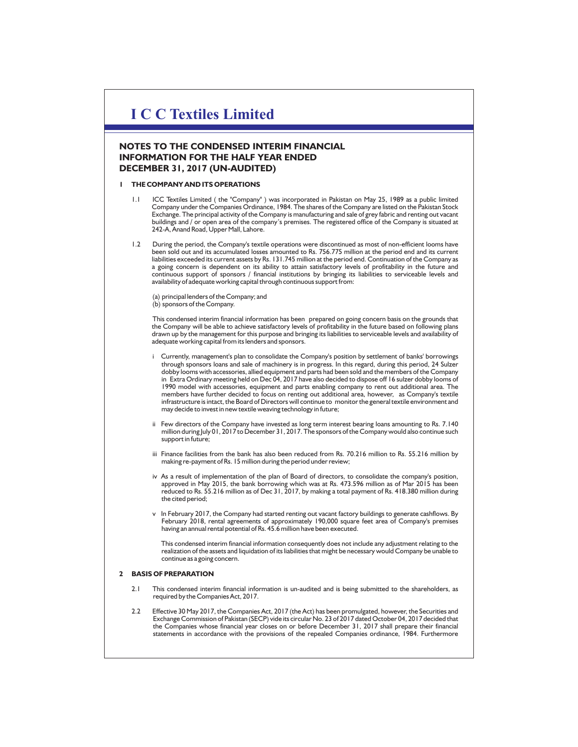## **NOTES TO THE CONDENSED INTERIM FINANCIAL INFORMATION FOR THE HALF YEAR ENDED DECEMBER 31, 2017 (UN-AUDITED)**

#### **1 THE COMPANY AND ITS OPERATIONS**

- ICC Textiles Limited ( the "Company" ) was incorporated in Pakistan on May 25, 1989 as a public limited Company under the Companies Ordinance, 1984. The shares of the Company are listed on the Pakistan Stock Exchange. The principal activity of the Company is manufacturing and sale of grey fabric and renting out vacant buildings and / or open area of the company's premises. The registered office of the Company is situated at 242-A, Anand Road, Upper Mall, Lahore.
- 1.2 During the period, the Company's textile operations were discontinued as most of non-efficient looms have been sold out and its accumulated losses amounted to Rs. 756.775 million at the period end and its current liabilities exceeded its current assets by Rs. 131.745 million at the period end. Continuation of the Company as a going concern is dependent on its ability to attain satisfactory levels of profitability in the future and continuous support of sponsors / financial institutions by bringing its liabilities to serviceable levels and availability of adequate working capital through continuous support from:

(a) principal lenders of the Company; and (b) sponsors of the Company.

This condensed interim financial information has been prepared on going concern basis on the grounds that the Company will be able to achieve satisfactory levels of profitability in the future based on following plans drawn up by the management for this purpose and bringing its liabilities to serviceable levels and availability of adequate working capital from its lenders and sponsors.

- Currently, management's plan to consolidate the Company's position by settlement of banks' borrowings through sponsors loans and sale of machinery is in progress. In this regard, during this period, 24 Sulzer dobby looms with accessories, allied equipment and parts had been sold and the members of the Company in Extra Ordinary meeting held on Dec 04, 2017 have also decided to dispose off 16 sulzer dobby looms of 1990 model with accessories, equipment and parts enabling company to rent out additional area. The members have further decided to focus on renting out additional area, however, as Company's textile infrastructure is intact, the Board of Directors will continue to monitor the general textile environment and may decide to invest in new textile weaving technology in future;
- ii Few directors of the Company have invested as long term interest bearing loans amounting to Rs. 7.140 million during July 01, 2017 to December 31, 2017. The sponsors of the Company would also continue such support in future;
- iii Finance facilities from the bank has also been reduced from Rs. 70.216 million to Rs. 55.216 million by making re-payment of Rs. 15 million during the period under review;
- iv As a result of implementation of the plan of Board of directors, to consolidate the company's position,<br>approved in May 2015, the bank borrowing which was at Rs. 473.596 million as of Mar 2015 has been<br>reduced to Rs. 55 the cited period;
- v In February 2017, the Company had started renting out vacant factory buildings to generate cashflows. By February 2018, rental agreements of approximately 190,000 square feet area of Company's premises having an annual rental potential of Rs. 45.6 million have been executed.

This condensed interim financial information consequently does not include any adjustment relating to the realization of the assets and liquidation of its liabilities that might be necessary would Company be unable to continue as a going concern.

#### **2 BASIS OF PREPARATION**

- 2.1 This condensed interim financial information is un-audited and is being submitted to the shareholders, as required by the Companies Act, 2017.
- 2.2 Effective 30 May 2017, the Companies Act, 2017 (the Act) has been promulgated, however, the Securities and Exchange Commission of Pakistan (SECP) vide its circular No. 23 of 2017 dated October 04, 2017 decided that the Companies whose financial year closes on or before December 31, 2017 shall prepare their financial statements in accordance with the provisions of the repealed Companies ordinance, 1984. Furthermore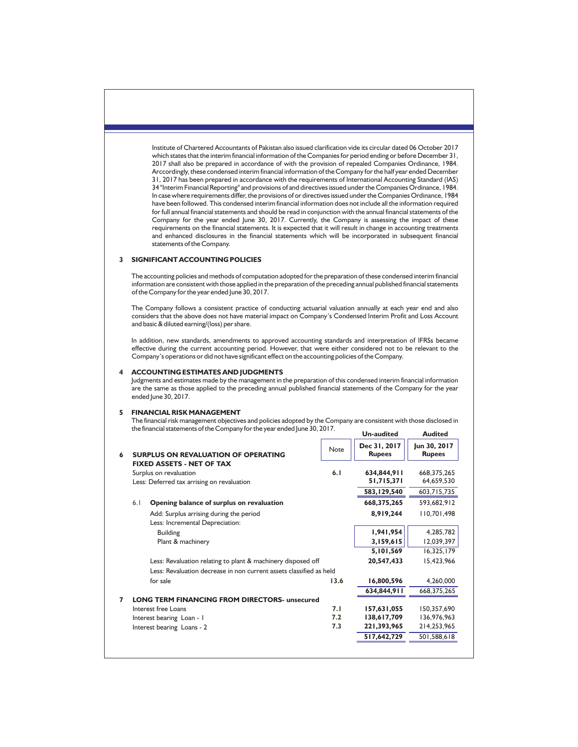Institute of Chartered Accountants of Pakistan also issued clarification vide its circular dated 06 October 2017 which states that the interim financial information of the Companies for period ending or before December 31, 2017 shall also be prepared in accordance of with the provision of repealed Companies Ordinance, 1984. Arccordingly, these condensed interim financial information of the Company for the half year ended December 31, 2017 has been prepared in accordance with the requirements of International Accounting Standard (IAS) 34 "Interim Financial Reporting" and provisions of and directives issued under the Companies Ordinance, 1984. In case where requirements differ, the provisions of or directives issued under the Companies Ordinance, 1984 have been followed. This condensed interim financial information does not include all the information required for full annual financial statements and should be read in conjunction with the annual financial statements of the Company for the year ended June 30, 2017. Currently, the Company is assessing the impact of these requirements on the financial statements. It is expected that it will result in change in accounting treatments and enhanced disclosures in the financial statements which will be incorporated in subsequent financial statements of the Company.

#### **3 SIGNIFICANT ACCOUNTING POLICIES**

The accounting policies and methods of computation adopted for the preparation of these condensed interim financial information are consistent with those applied in the preparation of the preceding annual published financial statements of the Company for the year ended June 30, 2017.

The Company follows a consistent practice of conducting actuarial valuation annually at each year end and also considers that the above does not have material impact on Company's Condensed Interim Profit and Loss Account and basic & diluted earning/(loss) per share.

In addition, new standards, amendments to approved accounting standards and interpretation of IFRSs became effective during the current accounting period. However, that were either considered not to be relevant to the Company's operations or did not have significant effect on the accounting policies of the Company.

#### **4 ACCOUNTING ESTIMATES AND JUDGMENTS**

Judgments and estimates made by the management in the preparation of this condensed interim financial information are the same as those applied to the preceding annual published financial statements of the Company for the year ended June 30, 2017.

#### **5 FINANCIAL RISK MANAGEMENT**

The financial risk management objectives and policies adopted by the Company are consistent with those disclosed in the financial statements of the Company for the year ended June 30, 2017. **Un-audited Audited**

| 6 | <b>SURPLUS ON REVALUATION OF OPERATING</b>                          | Note | Dec 31, 2017<br><b>Rupees</b> | Jun 30, 2017<br><b>Rupees</b> |
|---|---------------------------------------------------------------------|------|-------------------------------|-------------------------------|
|   | <b>FIXED ASSETS - NET OF TAX</b>                                    |      |                               |                               |
|   | Surplus on revaluation                                              | 6.1  | 634,844,911                   | 668, 375, 265                 |
|   | Less: Deferred tax arrising on revaluation                          |      | 51,715,371                    | 64,659,530                    |
|   |                                                                     |      | 583,129,540                   | 603,715,735                   |
|   | 6.1<br>Opening balance of surplus on revaluation                    |      | 668,375,265                   | 593,682,912                   |
|   | Add: Surplus arrising during the period                             |      | 8,919,244                     | 110,701,498                   |
|   | Less: Incremental Depreciation:                                     |      |                               |                               |
|   | <b>Building</b>                                                     |      | 1,941,954                     | 4,285,782                     |
|   | Plant & machinery                                                   |      | 3,159,615                     | 12,039,397                    |
|   |                                                                     |      | 5,101,569                     | 16,325,179                    |
|   | Less: Revaluation relating to plant & machinery disposed off        |      | 20,547,433                    | 15,423,966                    |
|   | Less: Revaluation decrease in non current assets classified as held |      |                               |                               |
|   | for sale                                                            | 13.6 | 16,800,596                    | 4,260,000                     |
|   |                                                                     |      | 634,844,911                   | 668, 375, 265                 |
| 7 | <b>LONG TERM FINANCING FROM DIRECTORS- unsecured</b>                |      |                               |                               |
|   | Interest free Loans                                                 | 7.1  | 157,631,055                   | 150,357,690                   |
|   | Interest bearing Loan - I                                           | 7.2  | 138,617,709                   | 136,976,963                   |
|   | Interest bearing Loans - 2                                          | 7.3  | 221,393,965                   | 214,253,965                   |
|   |                                                                     |      | 517,642,729                   | 501,588,618                   |
|   |                                                                     |      |                               |                               |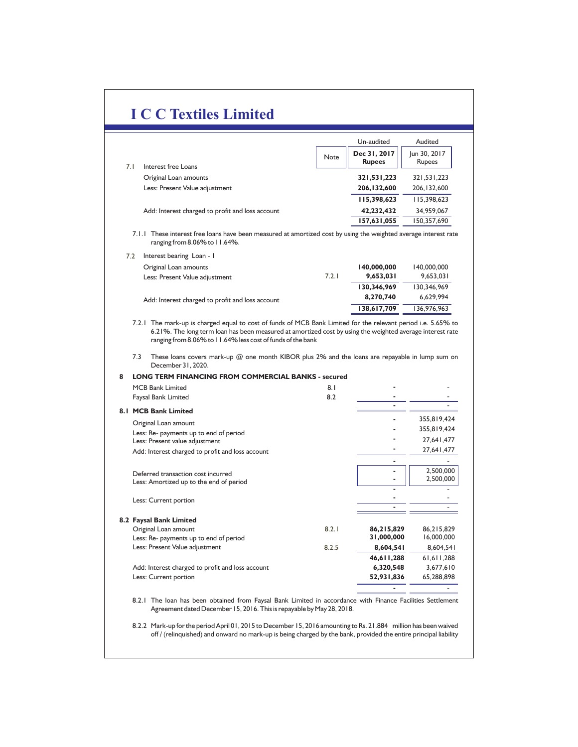|                                                                                                                                                      |       | Un-audited    | Audited       |
|------------------------------------------------------------------------------------------------------------------------------------------------------|-------|---------------|---------------|
|                                                                                                                                                      | Note  | Dec 31, 2017  | Jun 30, 2017  |
| Interest free Loans<br>7.1                                                                                                                           |       | <b>Rupees</b> | Rupees        |
| Original Loan amounts                                                                                                                                |       | 321,531,223   | 321, 531, 223 |
| Less: Present Value adjustment                                                                                                                       |       | 206, 132, 600 | 206, 132, 600 |
|                                                                                                                                                      |       | 115,398,623   | 115,398,623   |
| Add: Interest charged to profit and loss account                                                                                                     |       | 42,232,432    | 34,959,067    |
|                                                                                                                                                      |       | 157,631,055   | 150,357,690   |
| These interest free loans have been measured at amortized cost by using the weighted average interest rate<br>7.1.1<br>ranging from 8.06% to 11.64%. |       |               |               |
| 7.2<br>Interest bearing Loan - I                                                                                                                     |       |               |               |
| Original Loan amounts                                                                                                                                |       | 140,000,000   | 140,000,000   |
| Less: Present Value adjustment                                                                                                                       | 7.2.1 | 9,653,031     | 9,653,031     |
|                                                                                                                                                      |       | 130.346.969   | 130.346.969   |

7.2.1 The mark-up is charged equal to cost of funds of MCB Bank Limited for the relevant period i.e. 5.65% to Add: Interest charged to profit and loss account **8,270,740** 6,629,994 **138,617,709** 136,976,963

6.21%. The long term loan has been measured at amortized cost by using the weighted average interest rate ranging from 8.06% to 11.64% less cost of funds of the bank

7.3 These loans covers mark-up @ one month KIBOR plus 2% and the loans are repayable in lump sum on December 31, 2020.

#### **LONG TERM FINANCING FROM COMMERCIAL BANKS - secured 8**

|      | <b>MCB Bank Limited</b>                                                  | 8.1   |            |             |
|------|--------------------------------------------------------------------------|-------|------------|-------------|
|      | Faysal Bank Limited                                                      | 8.2   |            |             |
| 8. I | <b>MCB Bank Limited</b>                                                  |       |            |             |
|      |                                                                          |       |            | 355,819,424 |
|      | Original Loan amount                                                     |       |            | 355,819,424 |
|      | Less: Re- payments up to end of period<br>Less: Present value adjustment |       |            | 27,641,477  |
|      | Add: Interest charged to profit and loss account                         |       |            | 27,641,477  |
|      |                                                                          |       |            |             |
|      | Deferred transaction cost incurred                                       |       |            | 2,500,000   |
|      | Less: Amortized up to the end of period                                  |       |            | 2,500,000   |
|      |                                                                          |       |            |             |
|      | Less: Current portion                                                    |       |            |             |
|      |                                                                          |       |            |             |
|      | 8.2 Faysal Bank Limited                                                  |       |            |             |
|      | Original Loan amount                                                     | 8.2.1 | 86,215,829 | 86,215,829  |
|      | Less: Re- payments up to end of period                                   |       | 31,000,000 | 16,000,000  |
|      | Less: Present Value adjustment                                           | 8.2.5 | 8,604,541  | 8,604,541   |
|      |                                                                          |       | 46,611,288 | 61,611,288  |
|      | Add: Interest charged to profit and loss account                         |       | 6,320,548  | 3,677,610   |
|      | Less: Current portion                                                    |       | 52,931,836 | 65,288,898  |
|      |                                                                          |       |            |             |

8.2.1 The loan has been obtained from Faysal Bank Limited in accordance with Finance Facilities Settlement Agreement dated December 15, 2016. This is repayable by May 28, 2018.

8.2.2 Mark-up for the period April 01, 2015 to December 15, 2016 amounting to Rs. 21.884 million has been waived off / (relinquished) and onward no mark-up is being charged by the bank, provided the entire principal liability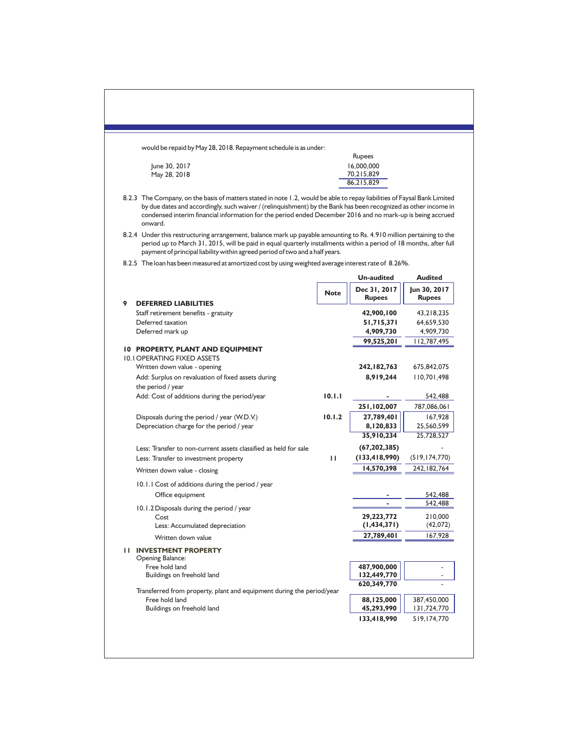|   | would be repaid by May 28, 2018. Repayment schedule is as under:                                                                                                                                                                                                                                                                                                     |             |                               |                               |
|---|----------------------------------------------------------------------------------------------------------------------------------------------------------------------------------------------------------------------------------------------------------------------------------------------------------------------------------------------------------------------|-------------|-------------------------------|-------------------------------|
|   |                                                                                                                                                                                                                                                                                                                                                                      |             | Rupees                        |                               |
|   | June 30, 2017                                                                                                                                                                                                                                                                                                                                                        |             | 16,000,000                    |                               |
|   | May 28, 2018                                                                                                                                                                                                                                                                                                                                                         |             | 70,215,829                    |                               |
|   |                                                                                                                                                                                                                                                                                                                                                                      |             | 86,215,829                    |                               |
|   | 8.2.3 The Company, on the basis of matters stated in note 1.2, would be able to repay liabilities of Faysal Bank Limited<br>by due dates and accordingly, such waiver / (relinquishment) by the Bank has been recognized as other income in<br>condensed interim financial information for the period ended December 2016 and no mark-up is being accrued<br>onward. |             |                               |                               |
|   | 8.2.4 Under this restructuring arrangement, balance mark up payable amounting to Rs. 4.910 million pertaining to the<br>period up to March 31, 2015, will be paid in equal quarterly installments within a period of 18 months, after full<br>payment of principal liability within agreed period of two and a half years.                                           |             |                               |                               |
|   | 8.2.5 The loan has been measured at amortized cost by using weighted average interest rate of 8.26%.                                                                                                                                                                                                                                                                 |             |                               |                               |
|   |                                                                                                                                                                                                                                                                                                                                                                      |             | <b>Un-audited</b>             | <b>Audited</b>                |
| 9 | <b>DEFERRED LIABILITIES</b>                                                                                                                                                                                                                                                                                                                                          | <b>Note</b> | Dec 31, 2017<br><b>Rupees</b> | Jun 30, 2017<br><b>Rupees</b> |
|   | Staff retirement benefits - gratuity                                                                                                                                                                                                                                                                                                                                 |             | 42,900,100                    | 43,218,235                    |
|   | Deferred taxation                                                                                                                                                                                                                                                                                                                                                    |             | 51,715,371                    | 64,659,530                    |
|   | Deferred mark up                                                                                                                                                                                                                                                                                                                                                     |             | 4,909,730                     | 4,909,730                     |
|   |                                                                                                                                                                                                                                                                                                                                                                      |             | 99,525,201                    | 112,787,495                   |
|   | 10 PROPERTY, PLANT AND EQUIPMENT<br><b>10.1 OPERATING FIXED ASSETS</b>                                                                                                                                                                                                                                                                                               |             |                               |                               |
|   | Written down value - opening                                                                                                                                                                                                                                                                                                                                         |             | 242, 182, 763                 | 675,842,075                   |
|   | Add: Surplus on revaluation of fixed assets during                                                                                                                                                                                                                                                                                                                   |             | 8,919,244                     | 110,701,498                   |
|   | the period / year                                                                                                                                                                                                                                                                                                                                                    |             |                               |                               |
|   | Add: Cost of additions during the period/year                                                                                                                                                                                                                                                                                                                        | 10.1.1      |                               | 542,488                       |
|   |                                                                                                                                                                                                                                                                                                                                                                      |             | 251,102,007                   | 787,086,061                   |
|   | Disposals during the period / year (W.D.V.)                                                                                                                                                                                                                                                                                                                          | 10.1.2      | 27,789,401                    | 167,928                       |
|   | Depreciation charge for the period / year                                                                                                                                                                                                                                                                                                                            |             | 8,120,833                     | 25,560,599                    |
|   |                                                                                                                                                                                                                                                                                                                                                                      |             | 35,910,234                    | 25,728,527                    |
|   | Less: Transfer to non-current assets classified as held for sale                                                                                                                                                                                                                                                                                                     |             | (67, 202, 385)                |                               |
|   | Less: Transfer to investment property                                                                                                                                                                                                                                                                                                                                | ш           | (133, 418, 990)               | (519, 174, 770)               |
|   | Written down value - closing                                                                                                                                                                                                                                                                                                                                         |             | 14,570,398                    | 242, 182, 764                 |
|   | 10.1.1 Cost of additions during the period / year                                                                                                                                                                                                                                                                                                                    |             |                               |                               |
|   | Office equipment                                                                                                                                                                                                                                                                                                                                                     |             |                               | 542,488                       |
|   |                                                                                                                                                                                                                                                                                                                                                                      |             |                               | 542,488                       |
|   | 10.1.2 Disposals during the period / year                                                                                                                                                                                                                                                                                                                            |             | 29,223,772                    | 210,000                       |
|   | Cost<br>Less: Accumulated depreciation                                                                                                                                                                                                                                                                                                                               |             | (1,434,371)                   | (42,072)                      |
|   | Written down value                                                                                                                                                                                                                                                                                                                                                   |             | 27,789,401                    | 167,928                       |
|   |                                                                                                                                                                                                                                                                                                                                                                      |             |                               |                               |
|   | <b>II INVESTMENT PROPERTY</b><br><b>Opening Balance:</b>                                                                                                                                                                                                                                                                                                             |             |                               |                               |
|   | Free hold land<br>Buildings on freehold land                                                                                                                                                                                                                                                                                                                         |             | 487,900,000<br>132,449,770    |                               |
|   |                                                                                                                                                                                                                                                                                                                                                                      |             | 620,349,770                   |                               |
|   | Transferred from property, plant and equipment during the period/year                                                                                                                                                                                                                                                                                                |             |                               |                               |
|   | Free hold land<br>Buildings on freehold land                                                                                                                                                                                                                                                                                                                         |             | 88,125,000<br>45,293,990      | 387,450,000<br>131,724,770    |
|   |                                                                                                                                                                                                                                                                                                                                                                      |             | 133,418,990                   | 519,174,770                   |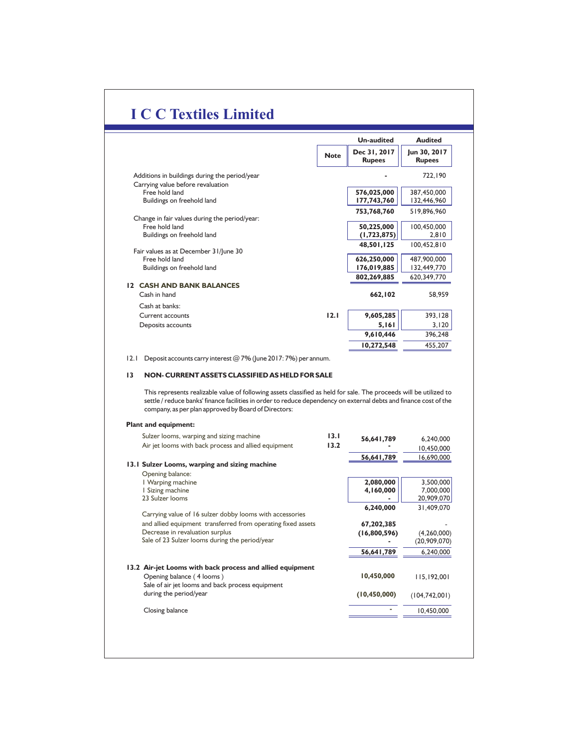|                                                                                                                                                                                                                                                                                                                                                                                                                                      |             | <b>Un-audited</b>             | <b>Audited</b>                |
|--------------------------------------------------------------------------------------------------------------------------------------------------------------------------------------------------------------------------------------------------------------------------------------------------------------------------------------------------------------------------------------------------------------------------------------|-------------|-------------------------------|-------------------------------|
|                                                                                                                                                                                                                                                                                                                                                                                                                                      | <b>Note</b> | Dec 31, 2017<br><b>Rupees</b> | Jun 30, 2017<br><b>Rupees</b> |
| Additions in buildings during the period/year<br>Carrying value before revaluation                                                                                                                                                                                                                                                                                                                                                   |             |                               | 722,190                       |
| Free hold land                                                                                                                                                                                                                                                                                                                                                                                                                       |             | 576,025,000                   | 387,450,000                   |
| Buildings on freehold land                                                                                                                                                                                                                                                                                                                                                                                                           |             | 177,743,760                   | 132,446,960                   |
|                                                                                                                                                                                                                                                                                                                                                                                                                                      |             | 753,768,760                   | 519,896,960                   |
| Change in fair values during the period/year:<br>Free hold land                                                                                                                                                                                                                                                                                                                                                                      |             | 50,225,000                    | 100,450,000                   |
| Buildings on freehold land                                                                                                                                                                                                                                                                                                                                                                                                           |             | (1, 723, 875)                 | 2,810                         |
|                                                                                                                                                                                                                                                                                                                                                                                                                                      |             | 48,501,125                    | 100,452,810                   |
| Fair values as at December 31/June 30<br>Free hold land                                                                                                                                                                                                                                                                                                                                                                              |             | 626,250,000                   | 487,900,000                   |
| Buildings on freehold land                                                                                                                                                                                                                                                                                                                                                                                                           |             | 176,019,885                   | 132,449,770                   |
|                                                                                                                                                                                                                                                                                                                                                                                                                                      |             | 802,269,885                   | 620,349,770                   |
| <b>12 CASH AND BANK BALANCES</b>                                                                                                                                                                                                                                                                                                                                                                                                     |             |                               |                               |
| Cash in hand                                                                                                                                                                                                                                                                                                                                                                                                                         |             | 662,102                       | 58,959                        |
| Cash at banks:                                                                                                                                                                                                                                                                                                                                                                                                                       |             |                               |                               |
| Current accounts                                                                                                                                                                                                                                                                                                                                                                                                                     | 12.1        | 9,605,285<br>5,161            | 393,128<br>3,120              |
| Deposits accounts                                                                                                                                                                                                                                                                                                                                                                                                                    |             | 9,610,446                     | 396,248                       |
|                                                                                                                                                                                                                                                                                                                                                                                                                                      |             | 10,272,548                    | 455,207                       |
|                                                                                                                                                                                                                                                                                                                                                                                                                                      |             |                               |                               |
| 2.1<br>Deposit accounts carry interest $@7\%$ (June 2017: 7%) per annum.<br>13<br>NON- CURRENT ASSETS CLASSIFIED AS HELD FOR SALE<br>This represents realizable value of following assets classified as held for sale. The proceeds will be utilized to<br>settle / reduce banks' finance facilities in order to reduce dependency on external debts and finance cost of the<br>company, as per plan approved by Board of Directors: |             |                               |                               |
| <b>Plant and equipment:</b><br>Sulzer looms, warping and sizing machine                                                                                                                                                                                                                                                                                                                                                              | 13.1        | 56,641,789                    | 6,240,000                     |
| Air jet looms with back process and allied equipment                                                                                                                                                                                                                                                                                                                                                                                 | 13.2        |                               | 10,450,000                    |
|                                                                                                                                                                                                                                                                                                                                                                                                                                      |             | 56,641,789                    | 16,690,000                    |
| 13.1 Sulzer Looms, warping and sizing machine                                                                                                                                                                                                                                                                                                                                                                                        |             |                               |                               |
| Opening balance:<br>I Warping machine                                                                                                                                                                                                                                                                                                                                                                                                |             | 2,080,000                     | 3,500,000                     |
| I Sizing machine                                                                                                                                                                                                                                                                                                                                                                                                                     |             | 4,160,000                     | 7,000,000                     |
| 23 Sulzer looms                                                                                                                                                                                                                                                                                                                                                                                                                      |             |                               | 20,909,070                    |
| Carrying value of 16 sulzer dobby looms with accessories                                                                                                                                                                                                                                                                                                                                                                             |             | 6,240,000                     | 31,409,070                    |
| and allied equipment transferred from operating fixed assets                                                                                                                                                                                                                                                                                                                                                                         |             | 67,202,385                    |                               |
| Decrease in revaluation surplus                                                                                                                                                                                                                                                                                                                                                                                                      |             | (16,800,596)                  | (4, 260, 000)                 |
| Sale of 23 Sulzer looms during the period/year                                                                                                                                                                                                                                                                                                                                                                                       |             |                               | (20, 909, 070)                |
|                                                                                                                                                                                                                                                                                                                                                                                                                                      |             | 56.641.789                    | 6.240.000                     |
| 13.2 Air-jet Looms with back process and allied equipment                                                                                                                                                                                                                                                                                                                                                                            |             |                               |                               |
| Opening balance (4 looms)                                                                                                                                                                                                                                                                                                                                                                                                            |             | 10,450,000                    | 115,192,001                   |
| Sale of air jet looms and back process equipment<br>during the period/year                                                                                                                                                                                                                                                                                                                                                           |             | (10, 450, 000)                | (104, 742, 001)               |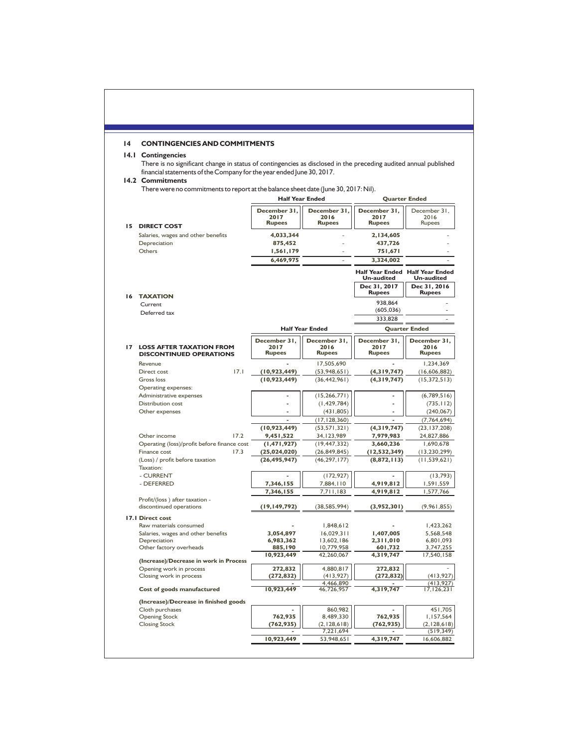# **14 CONTINGENCIES AND COMMITMENTS**

## **14.1 Contingencies**

There is no significant change in status of contingencies as disclosed in the preceding audited annual published financial statements of the Company for the year ended June 30, 2017.

#### **14.2 Commitments**

There were no commitments to report at the balance sheet date (June 30, 2017: Nil).

|    |                                              | <b>Half Year Ended</b>               |                                       | <b>Quarter Ended</b>                                        |                                           |
|----|----------------------------------------------|--------------------------------------|---------------------------------------|-------------------------------------------------------------|-------------------------------------------|
|    | <b>15 DIRECT COST</b>                        | December 31<br>2017<br><b>Rupees</b> | December 31.<br>2016<br><b>Rupees</b> | December 31,<br>2017<br><b>Rupees</b>                       | December 31,<br>2016<br><b>Rupees</b>     |
|    | Salaries, wages and other benefits           | 4,033,344                            |                                       | 2,134,605                                                   |                                           |
|    | Depreciation                                 | 875,452                              |                                       | 437,726                                                     |                                           |
|    | Others                                       | 1,561,179                            |                                       | 751,671                                                     |                                           |
|    |                                              | 6,469,975                            |                                       | 3,324,002                                                   |                                           |
|    |                                              |                                      |                                       | <b>Half Year Ended Half Year Ended</b><br><b>Un-audited</b> | <b>Un-audited</b>                         |
|    |                                              |                                      |                                       | Dec 31, 2017<br><b>Rupees</b>                               | Dec 31, 2016<br><b>Rupees</b>             |
|    | <b>16 TAXATION</b><br>Current                |                                      |                                       | 938,864                                                     |                                           |
|    | Deferred tax                                 |                                      |                                       | (605, 036)                                                  |                                           |
|    |                                              |                                      |                                       | 333,828                                                     |                                           |
|    |                                              |                                      | <b>Half Year Ended</b>                |                                                             | <b>Quarter Ended</b>                      |
|    |                                              | December 31.                         | December 31.                          | December 31,                                                | December 31,                              |
| 17 | <b>LOSS AFTER TAXATION FROM</b>              | 2017                                 | 2016                                  | 2017                                                        | 2016                                      |
|    | <b>DISCONTINUED OPERATIONS</b>               | <b>Rupees</b>                        | <b>Rupees</b>                         | <b>Rupees</b>                                               | <b>Rupees</b>                             |
|    | Revenue                                      |                                      | 17,505,690                            |                                                             | 1,234,369                                 |
|    | 17.1<br>Direct cost                          | (10, 923, 449)                       | (53,948,651)                          | (4,319,747)                                                 | (16,606,882)                              |
|    | <b>Gross loss</b>                            | (10, 923, 449)                       | (36, 442, 961)                        | (4,319,747)                                                 | (15, 372, 513)                            |
|    | Operating expenses:                          |                                      |                                       |                                                             |                                           |
|    | Administrative expenses<br>Distribution cost |                                      | (15, 266, 771)<br>(1, 429, 784)       |                                                             | (6,789,516)<br>(735, 112)                 |
|    | Other expenses                               |                                      | (431, 805)                            |                                                             | (240, 067)                                |
|    |                                              |                                      | (17, 128, 360)                        |                                                             | (7,764,694)                               |
|    |                                              | (10, 923, 449)                       | (53, 571, 321)                        | (4,319,747)                                                 | (23, 137, 208)                            |
|    | Other income<br>17.2                         | 9,451,522                            | 34, 123, 989                          | 7,979,983                                                   | 24,827,886                                |
|    | Operating (loss)/profit before finance cost  | (1, 471, 927)                        | (19, 447, 332)                        | 3,660,236                                                   | 1,690,678                                 |
|    | 17.3<br>Finance cost                         | (25, 024, 020)                       | (26, 849, 845)                        | (12, 532, 349)                                              | (13, 230, 299)                            |
|    | (Loss) / profit before taxation<br>Taxation: | (26, 495, 947)                       | (46, 297, 177)                        | (8,872,113)                                                 | (11, 539, 621)                            |
|    | - CURRENT                                    |                                      | (172, 927)                            |                                                             | (13, 793)                                 |
|    | - DEFERRED                                   | 7,346,155                            | 7,884,110                             | 4,919,812<br>4.919.812                                      | 1,591,559                                 |
|    | Profit/(loss) after taxation -               | 7,346,155                            | 7,711,183                             |                                                             | 1,577,766                                 |
|    | discontinued operations                      | (19, 149, 792)                       | (38, 585, 994)                        | (3,952,301)                                                 | (9, 961, 855)                             |
|    | 17.1 Direct cost<br>Raw materials consumed   |                                      | 1,848,612                             |                                                             | 1,423,262                                 |
|    | Salaries, wages and other benefits           | 3,054,897                            | 16,029,311                            | 1,407,005                                                   | 5,568,548                                 |
|    | Depreciation                                 | 6,983,362                            | 13,602,186                            | 2,311,010                                                   | 6,801,093                                 |
|    | Other factory overheads                      | 885,190                              | 10,779,958                            | 601,732                                                     | 3,747,255                                 |
|    | (Increase)/Decrease in work in Process       | 10,923,449                           | 42,260,067                            | 4,319,747                                                   | 17,540,158                                |
|    | Opening work in process                      | 272,832                              | 4,880,817                             | 272,832                                                     |                                           |
|    | Closing work in process                      | (272, 832)                           | (413,927)                             | (272, 832)                                                  | (413,927)                                 |
|    | Cost of goods manufactured                   | 10,923,449                           | 4.466.890<br>46,726,957               | 4,319,747                                                   | (413.927)<br>17, 126, 231                 |
|    | (Increase)/Decrease in finished goods        |                                      |                                       |                                                             |                                           |
|    | Cloth purchases                              |                                      | 860,982                               |                                                             | 451,705                                   |
|    | <b>Opening Stock</b>                         | 762,935                              | 8,489,330                             | 762,935                                                     | 1,157,564                                 |
|    |                                              |                                      |                                       |                                                             |                                           |
|    | <b>Closing Stock</b>                         | (762, 935)                           | (2, 128, 618)                         | (762, 935)                                                  |                                           |
|    |                                              | 10,923,449                           | 7,221,694<br>53,948,651               | 4,319,747                                                   | (2, 128, 618)<br>(519, 349)<br>16,606,882 |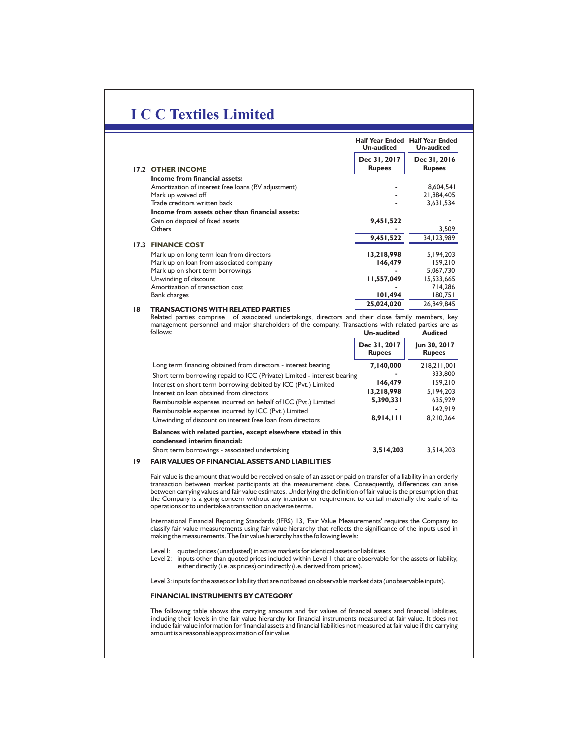|                                                     | <b>Half Year Ended</b><br><b>Un-audited</b> | <b>Half Year Ended</b><br><b>Un-audited</b> |
|-----------------------------------------------------|---------------------------------------------|---------------------------------------------|
|                                                     | Dec 31, 2017                                | Dec 31, 2016<br><b>Rupees</b>               |
| <b>17.2 OTHER INCOME</b>                            | <b>Rupees</b>                               |                                             |
| Income from financial assets:                       |                                             |                                             |
| Amortization of interest free loans (PV adjustment) |                                             | 8,604,541                                   |
| Mark up waived off                                  |                                             | 21,884,405                                  |
| Trade creditors written back                        |                                             | 3,631,534                                   |
| Income from assets other than financial assets:     |                                             |                                             |
| Gain on disposal of fixed assets                    | 9,451,522                                   |                                             |
| Others                                              |                                             | 3,509                                       |
|                                                     | 9,451,522                                   | 34, 123, 989                                |
| <b>17.3 FINANCE COST</b>                            |                                             |                                             |
| Mark up on long term loan from directors            | 13,218,998                                  | 5, 194, 203                                 |
| Mark up on loan from associated company             | 146,479                                     | 159,210                                     |
| Mark up on short term borrowings                    |                                             | 5,067,730                                   |
| Unwinding of discount                               | 11,557,049                                  | 15,533,665                                  |
| Amortization of transaction cost                    |                                             | 714,286                                     |
| Bank charges                                        | 101,494                                     | 180,751                                     |
| 18<br>TRANSACTIONS WITH RELATED PARTIES             | 25,024,020                                  | 26,849,845                                  |

Related parties comprise of associated undertakings, directors and their close family members, key management personnel and major shareholders of the company. Transactions with related parties are as<br>follows:<br>**Audited** follows: **Un-audited Audited**

|                                                                                                | Dec 31, 2017<br><b>Rupees</b> | Jun 30, 2017<br><b>Rupees</b> |
|------------------------------------------------------------------------------------------------|-------------------------------|-------------------------------|
| Long term financing obtained from directors - interest bearing                                 | 7,140,000                     | 218,211,001                   |
| Short term borrowing repaid to ICC (Private) Limited - interest bearing                        |                               | 333,800                       |
| Interest on short term borrowing debited by ICC (Pvt.) Limited                                 | 146,479                       | 159.210                       |
| Interest on loan obtained from directors                                                       | 13,218,998                    | 5,194,203                     |
| Reimbursable expenses incurred on behalf of ICC (Pvt.) Limited                                 | 5,390,331                     | 635.929                       |
| Reimbursable expenses incurred by ICC (Pvt.) Limited                                           |                               | 142.919                       |
| Unwinding of discount on interest free loan from directors                                     | 8,914,111                     | 8,210,264                     |
| Balances with related parties, except elsewhere stated in this<br>condensed interim financial: |                               |                               |

Short term borrowings - associated undertaking **3,514,203** 3,514,203

#### **19 FAIR VALUES OF FINANCIAL ASSETS AND LIABILITIES**

Fair value is the amount that would be received on sale of an asset or paid on transfer of a liability in an orderly transaction between market participants at the measurement date. Consequently, differences can arise between carrying values and fair value estimates. Underlying the definition of fair value is the presumption that the Company is a going concern without any intention or requirement to curtail materially the scale of its operations or to undertake a transaction on adverse terms.

International Financial Reporting Standards (IFRS) 13, 'Fair Value Measurements' requires the Company to<br>classify fair value measurements using fair value hierarchy that reflects the significance of the inputs used in<br>maki

Level I: quoted prices (unadjusted) in active markets for identical assets or liabilities.

Level 2: inputs other than quoted prices included within Level 1 that are observable for the assets or liability, either directly (i.e. as prices) or indirectly (i.e. derived from prices).

Level 3: inputs for the assets or liability that are not based on observable market data (unobservable inputs).

#### **FINANCIAL INSTRUMENTS BY CATEGORY**

The following table shows the carrying amounts and fair values of financial assets and financial liabilities,<br>including their levels in the fair value hierarchy for financial instruments measured at fair value. It does not amount is a reasonable approximation of fair value.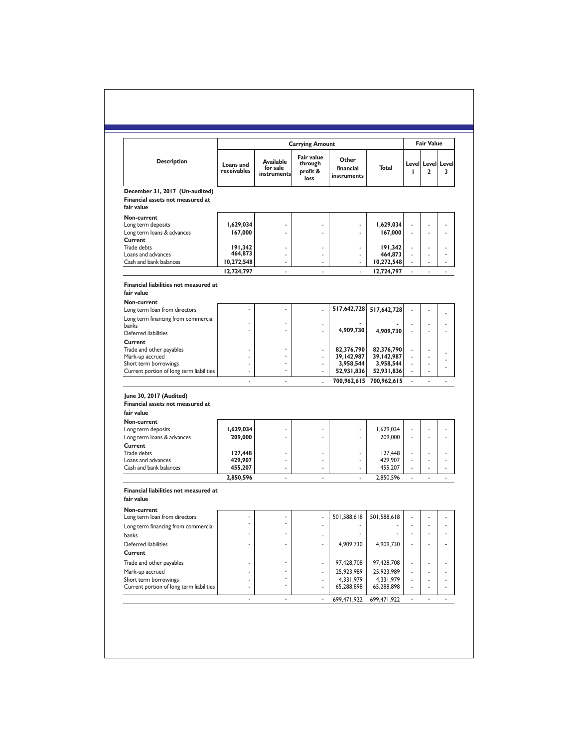|                                                                                  |                          |                                             |                                                                     |                                   |                          |    | <b>Fair Value</b>                 |                      |
|----------------------------------------------------------------------------------|--------------------------|---------------------------------------------|---------------------------------------------------------------------|-----------------------------------|--------------------------|----|-----------------------------------|----------------------|
| <b>Description</b>                                                               | Loans and<br>receivables | <b>Available</b><br>for sale<br>instruments | <b>Carrying Amount</b><br>Fair value<br>through<br>profit &<br>loss | Other<br>financial<br>instruments | Total                    | П  | Level Level Level<br>$\mathbf{2}$ | 3                    |
| December 31, 2017 (Un-audited)<br>Financial assets not measured at<br>fair value |                          |                                             |                                                                     |                                   |                          |    |                                   |                      |
| Non-current<br>Long term deposits<br>Long term loans & advances                  | 1,629,034<br>167,000     | ٠                                           | ä,                                                                  | ä,                                | 1,629,034<br>167,000     | ä, | ä,                                | ä,                   |
| Current<br>Trade debts                                                           | 191,342                  | ä,                                          | ä,                                                                  | ÷,                                | 191,342                  | ÷, | ä,                                | ä,                   |
| Loans and advances<br>Cash and bank balances                                     | 464,873<br>10,272,548    | ä,<br>$\mathbf{r}$                          | ä,                                                                  | $\overline{a}$                    | 464,873<br>10,272,548    |    | ä,<br>÷.                          | ä,<br>$\overline{a}$ |
|                                                                                  | 12,724,797               | ×.                                          | ä,                                                                  | ×.                                | 12,724,797               | ÷  | ×.                                | $\overline{a}$       |
| Financial liabilities not measured at<br>fair value<br>Non-current               |                          |                                             |                                                                     |                                   |                          |    |                                   |                      |
| Long term loan from directors<br>Long term financing from commercial             |                          |                                             | ÷,                                                                  | 517,642,728                       | 517,642,728              |    |                                   |                      |
| banks<br>Deferred liabilities                                                    |                          | ٠                                           |                                                                     | 4,909,730                         | 4,909,730                | ä, | ä,<br>ä,                          | ÷,<br>÷,             |
| Current<br>Trade and other payables<br>Mark-up accrued                           | ä,                       | ٠                                           | ÷,                                                                  | 82,376,790<br>39,142,987          | 82,376,790<br>39,142,987 | ٠  | ä,<br>ä,                          | ÷,                   |
| Short term borrowings<br>Current portion of long term liabilities                |                          |                                             |                                                                     | 3.958.544<br>52,931,836           | 3.958.544<br>52,931,836  |    | ÷,                                | ÷,<br>÷,             |
|                                                                                  | ä,                       | ×,                                          | ä,                                                                  |                                   | 700,962,615 700,962,615  | ä, | $\overline{\phantom{a}}$          | ä,                   |
| June 30, 2017 (Audited)<br>Financial assets not measured at<br>fair value        |                          |                                             |                                                                     |                                   |                          |    |                                   |                      |
| Non-current<br>Long term deposits<br>Long term loans & advances                  | 1,629,034<br>209,000     |                                             |                                                                     |                                   | 1,629,034<br>209,000     | ä, | ä,                                | ä,                   |
| Current<br>Trade debts<br>Loans and advances                                     | 127,448<br>429,907       | ä,                                          | ä,                                                                  | ä,                                | 127,448<br>429,907       | ä, | ÷,                                | ÷,                   |
| Cash and bank balances                                                           | 455,207                  | ÷,                                          | ä,                                                                  | $\overline{\phantom{m}}$<br>L.    | 455,207                  |    | ÷,                                | ÷,                   |
|                                                                                  | 2,850,596                | ä,                                          | ÷,                                                                  |                                   | 2,850,596                | ä, | ÷,                                | ÷,                   |
| Financial liabilities not measured at<br>fair value                              |                          |                                             |                                                                     |                                   |                          |    |                                   |                      |
| Non-current<br>Long term loan from directors                                     |                          | ٠                                           | ä,                                                                  | 501,588,618                       | 501,588,618              |    |                                   | ٠                    |
| Long term financing from commercial<br>banks                                     |                          |                                             | ٠                                                                   |                                   |                          |    |                                   |                      |
| Deferred liabilities<br>Current                                                  |                          |                                             | ٠                                                                   | 4,909,730                         | 4,909,730                |    |                                   |                      |
| Trade and other payables<br>Mark-up accrued                                      |                          |                                             | ٠<br>ä,                                                             | 97,428,708<br>25,923,989          | 97,428,708<br>25,923,989 |    |                                   | ٠<br>٠               |
| Short term borrowings<br>Current portion of long term liabilities                | ٠<br>٠                   | ٠<br>i.                                     | ä,<br>ä,                                                            | 4,331,979<br>65,288,898           | 4,331,979<br>65,288,898  |    | ä,                                | ٠<br>٠               |
|                                                                                  |                          |                                             |                                                                     | 699,471,922                       | 699,471,922              |    |                                   |                      |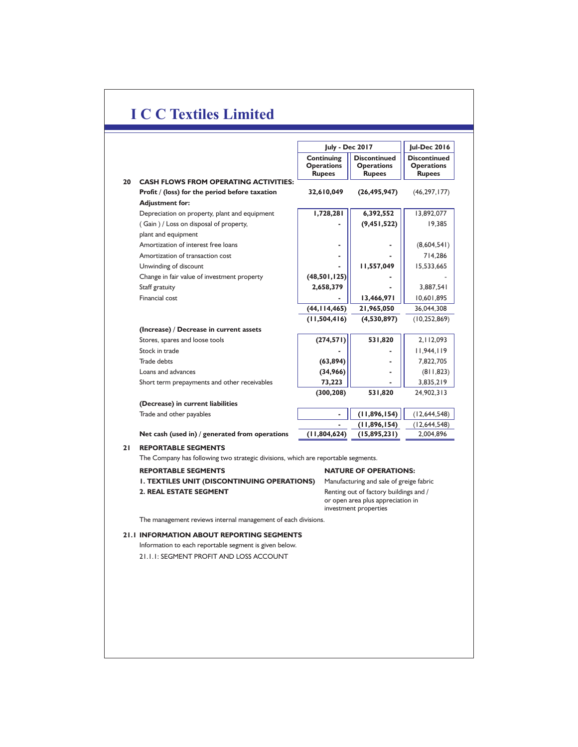|    |                                                                                               | <b>Jul-Dec 2016</b><br><b>July - Dec 2017</b>    |                                                           |                                                           |  |  |  |  |  |
|----|-----------------------------------------------------------------------------------------------|--------------------------------------------------|-----------------------------------------------------------|-----------------------------------------------------------|--|--|--|--|--|
|    |                                                                                               | Continuing<br><b>Operations</b><br><b>Rupees</b> | <b>Discontinued</b><br><b>Operations</b><br><b>Rupees</b> | <b>Discontinued</b><br><b>Operations</b><br><b>Rupees</b> |  |  |  |  |  |
| 20 | <b>CASH FLOWS FROM OPERATING ACTIVITIES:</b>                                                  |                                                  |                                                           |                                                           |  |  |  |  |  |
|    | Profit / (loss) for the period before taxation                                                | 32,610,049                                       | (26, 495, 947)                                            | (46, 297, 177)                                            |  |  |  |  |  |
|    | <b>Adjustment for:</b>                                                                        |                                                  |                                                           |                                                           |  |  |  |  |  |
|    | Depreciation on property, plant and equipment                                                 | 1,728,281                                        | 6,392,552                                                 | 13,892,077                                                |  |  |  |  |  |
|    | (Gain) / Loss on disposal of property,                                                        |                                                  | (9, 451, 522)                                             | 19,385                                                    |  |  |  |  |  |
|    | plant and equipment                                                                           |                                                  |                                                           |                                                           |  |  |  |  |  |
|    | Amortization of interest free loans                                                           |                                                  |                                                           | (8,604,541)                                               |  |  |  |  |  |
|    | Amortization of transaction cost                                                              |                                                  |                                                           | 714,286                                                   |  |  |  |  |  |
|    | Unwinding of discount                                                                         |                                                  | 11,557,049                                                | 15,533,665                                                |  |  |  |  |  |
|    | Change in fair value of investment property                                                   | (48,501,125)                                     |                                                           |                                                           |  |  |  |  |  |
|    | Staff gratuity                                                                                | 2,658,379                                        |                                                           | 3,887,541                                                 |  |  |  |  |  |
|    | Financial cost                                                                                |                                                  | 13,466,971                                                | 10,601,895                                                |  |  |  |  |  |
|    |                                                                                               | (44, 114, 465)                                   | 21,965,050                                                | 36,044,308                                                |  |  |  |  |  |
|    |                                                                                               | (11,504,416)                                     | (4,530,897)                                               | (10, 252, 869)                                            |  |  |  |  |  |
|    | (Increase) / Decrease in current assets                                                       |                                                  |                                                           |                                                           |  |  |  |  |  |
|    | Stores, spares and loose tools                                                                | (274, 571)                                       | 531,820                                                   | 2, 112, 093                                               |  |  |  |  |  |
|    | Stock in trade                                                                                |                                                  |                                                           | 11,944,119                                                |  |  |  |  |  |
|    | Trade debts                                                                                   | (63, 894)                                        |                                                           | 7,822,705                                                 |  |  |  |  |  |
|    | Loans and advances                                                                            | (34,966)                                         |                                                           | (811, 823)                                                |  |  |  |  |  |
|    | Short term prepayments and other receivables                                                  | 73,223                                           |                                                           | 3,835,219                                                 |  |  |  |  |  |
|    |                                                                                               | (300, 208)                                       | 531,820                                                   | 24,902,313                                                |  |  |  |  |  |
|    | (Decrease) in current liabilities                                                             |                                                  |                                                           |                                                           |  |  |  |  |  |
|    | Trade and other payables                                                                      | ٠                                                | (11, 896, 154)                                            | (12,644,548)                                              |  |  |  |  |  |
|    |                                                                                               |                                                  | (11, 896, 154)                                            | (12, 644, 548)                                            |  |  |  |  |  |
|    | Net cash (used in) / generated from operations                                                | (11,804,624)                                     | (15,895,231)                                              | 2,004,896                                                 |  |  |  |  |  |
| 21 | <b>REPORTABLE SEGMENTS</b>                                                                    |                                                  |                                                           |                                                           |  |  |  |  |  |
|    | The Company has following two strategic divisions, which are reportable segments.             |                                                  |                                                           |                                                           |  |  |  |  |  |
|    | <b>REPORTABLE SEGMENTS</b>                                                                    |                                                  | <b>NATURE OF OPERATIONS:</b>                              |                                                           |  |  |  |  |  |
|    | <b>I. TEXTILES UNIT (DISCONTINUING OPERATIONS)</b><br>Manufacturing and sale of greige fabric |                                                  |                                                           |                                                           |  |  |  |  |  |
|    | <b>2. REAL ESTATE SEGMENT</b>                                                                 |                                                  | Renting out of factory buildings and /                    |                                                           |  |  |  |  |  |
|    |                                                                                               |                                                  | or open area plus appreciation in                         |                                                           |  |  |  |  |  |
|    |                                                                                               |                                                  | investment properties                                     |                                                           |  |  |  |  |  |

The management reviews internal management of each divisions.

## **21.1 INFORMATION ABOUT REPORTING SEGMENTS**

Information to each reportable segment is given below. 21.1.1: SEGMENT PROFIT AND LOSS ACCOUNT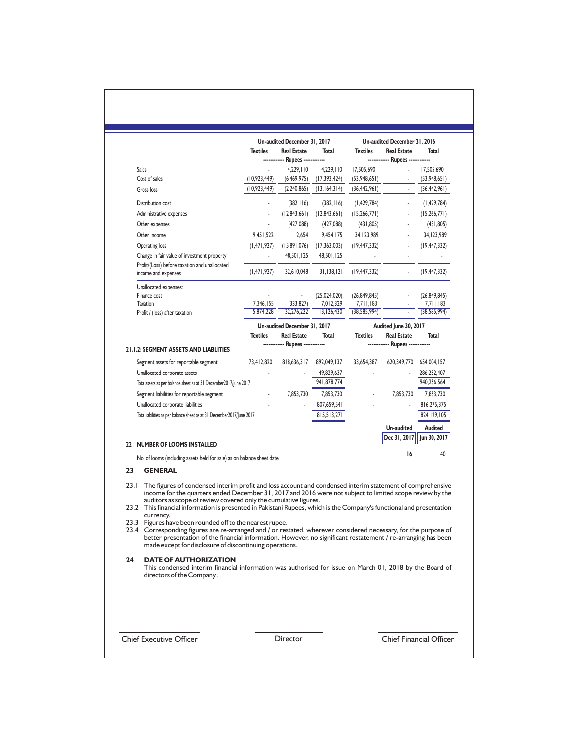|                                                                                                                                                                                                                                                                                                                                                                                                                                                                                                                                                                                                                                                                                                                                                                                                   |                          | Un-audited December 31, 2017     |                             |                             | Un-audited December 31, 2016     |                             |
|---------------------------------------------------------------------------------------------------------------------------------------------------------------------------------------------------------------------------------------------------------------------------------------------------------------------------------------------------------------------------------------------------------------------------------------------------------------------------------------------------------------------------------------------------------------------------------------------------------------------------------------------------------------------------------------------------------------------------------------------------------------------------------------------------|--------------------------|----------------------------------|-----------------------------|-----------------------------|----------------------------------|-----------------------------|
|                                                                                                                                                                                                                                                                                                                                                                                                                                                                                                                                                                                                                                                                                                                                                                                                   | <b>Textiles</b>          | <b>Real Estate</b>               | Total                       | <b>Textiles</b>             | <b>Real Estate</b>               | Total                       |
| <b>Sales</b>                                                                                                                                                                                                                                                                                                                                                                                                                                                                                                                                                                                                                                                                                                                                                                                      |                          | ------------ Rupees ------------ |                             |                             | ------------ Rupees ------------ |                             |
| Cost of sales                                                                                                                                                                                                                                                                                                                                                                                                                                                                                                                                                                                                                                                                                                                                                                                     | (10, 923, 449)           | 4,229,110<br>(6, 469, 975)       | 4,229,110<br>(17, 393, 424) | 17,505,690<br>(53,948,651)  |                                  | 17,505,690<br>(53,948,651)  |
| Gross loss                                                                                                                                                                                                                                                                                                                                                                                                                                                                                                                                                                                                                                                                                                                                                                                        | (10, 923, 449)           | (2, 240, 865)                    | (13, 164, 314)              | (36, 442, 961)              |                                  | (36, 442, 961)              |
|                                                                                                                                                                                                                                                                                                                                                                                                                                                                                                                                                                                                                                                                                                                                                                                                   |                          |                                  |                             |                             |                                  |                             |
| Distribution cost                                                                                                                                                                                                                                                                                                                                                                                                                                                                                                                                                                                                                                                                                                                                                                                 |                          | (382, 116)                       | (382, 116)                  | (1, 429, 784)               |                                  | (1, 429, 784)               |
| Administrative expenses                                                                                                                                                                                                                                                                                                                                                                                                                                                                                                                                                                                                                                                                                                                                                                           |                          | (12,843,661)                     | (12, 843, 661)              | (15,266,771)                |                                  | (15,266,771)                |
| Other expenses                                                                                                                                                                                                                                                                                                                                                                                                                                                                                                                                                                                                                                                                                                                                                                                    |                          | (427,088)                        | (427,088)                   | (431, 805)                  |                                  | (431, 805)                  |
| Other income                                                                                                                                                                                                                                                                                                                                                                                                                                                                                                                                                                                                                                                                                                                                                                                      | 9,451,522                | 2,654                            | 9,454,175                   | 34, 123, 989                | $\frac{1}{2}$                    | 34, 123, 989                |
| Operating loss                                                                                                                                                                                                                                                                                                                                                                                                                                                                                                                                                                                                                                                                                                                                                                                    | (1, 471, 927)            | (15,891,076)                     | (17, 363, 003)              | (19, 447, 332)              | $\blacksquare$                   | (19, 447, 332)              |
| Change in fair value of investment property                                                                                                                                                                                                                                                                                                                                                                                                                                                                                                                                                                                                                                                                                                                                                       | $\overline{\phantom{0}}$ | 48,501,125                       | 48,501,125                  |                             |                                  |                             |
| Profit/(Loss) before taxation and unallocated<br>income and expenses                                                                                                                                                                                                                                                                                                                                                                                                                                                                                                                                                                                                                                                                                                                              | (1, 471, 927)            | 32,610,048                       | 31,138,121                  | (19, 447, 332)              |                                  | (19, 447, 332)              |
| Unallocated expenses:                                                                                                                                                                                                                                                                                                                                                                                                                                                                                                                                                                                                                                                                                                                                                                             |                          |                                  |                             |                             |                                  |                             |
| Finance cost                                                                                                                                                                                                                                                                                                                                                                                                                                                                                                                                                                                                                                                                                                                                                                                      |                          |                                  | (25,024,020)                | (26, 849, 845)              |                                  | (26, 849, 845)              |
| <b>Taxation</b>                                                                                                                                                                                                                                                                                                                                                                                                                                                                                                                                                                                                                                                                                                                                                                                   | 7,346,155<br>5,874,228   | (333, 827)<br>32,276,222         | 7,012,329<br>13.126.430     | 7,711,183<br>(38, 585, 994) |                                  | 7,711,183<br>(38, 585, 994) |
| Profit / (loss) after taxation                                                                                                                                                                                                                                                                                                                                                                                                                                                                                                                                                                                                                                                                                                                                                                    |                          |                                  |                             |                             |                                  |                             |
|                                                                                                                                                                                                                                                                                                                                                                                                                                                                                                                                                                                                                                                                                                                                                                                                   |                          | Un-audited December 31, 2017     |                             |                             | Audited June 30, 2017            |                             |
|                                                                                                                                                                                                                                                                                                                                                                                                                                                                                                                                                                                                                                                                                                                                                                                                   | <b>Textiles</b>          | <b>Real Estate</b>               | Total                       | <b>Textiles</b>             | <b>Real Estate</b>               | <b>Total</b>                |
| 21.1.2: SEGMENT ASSETS AND LIABLITIES                                                                                                                                                                                                                                                                                                                                                                                                                                                                                                                                                                                                                                                                                                                                                             |                          | ------------ Rupees ------------ |                             |                             | ------------ Rupees -----------  |                             |
| Segment assets for reportable segment                                                                                                                                                                                                                                                                                                                                                                                                                                                                                                                                                                                                                                                                                                                                                             | 73,412,820               | 818,636,317                      | 892,049,137                 | 33,654,387                  | 620,349,770                      | 654,004,157                 |
| Unallocated corporate assets                                                                                                                                                                                                                                                                                                                                                                                                                                                                                                                                                                                                                                                                                                                                                                      |                          |                                  | 49,829,637                  |                             |                                  | 286,252,407                 |
| Total assets as per balance sheet as at 31 December 2017/June 2017                                                                                                                                                                                                                                                                                                                                                                                                                                                                                                                                                                                                                                                                                                                                |                          |                                  | 941,878,774                 |                             |                                  | 940,256,564                 |
| Segment liabilities for reportable segment                                                                                                                                                                                                                                                                                                                                                                                                                                                                                                                                                                                                                                                                                                                                                        |                          | 7,853,730                        | 7,853,730                   |                             | 7,853,730                        | 7,853,730                   |
| Unallocated corporate liabilities                                                                                                                                                                                                                                                                                                                                                                                                                                                                                                                                                                                                                                                                                                                                                                 |                          |                                  | 807,659,541                 |                             |                                  | 816,275,375                 |
| Total liabilities as per balance sheet as at 31 December2017/June 2017                                                                                                                                                                                                                                                                                                                                                                                                                                                                                                                                                                                                                                                                                                                            |                          |                                  | 815,513,271                 |                             |                                  | 824, 129, 105               |
|                                                                                                                                                                                                                                                                                                                                                                                                                                                                                                                                                                                                                                                                                                                                                                                                   |                          |                                  |                             |                             | <b>Un-audited</b>                | Audited                     |
|                                                                                                                                                                                                                                                                                                                                                                                                                                                                                                                                                                                                                                                                                                                                                                                                   |                          |                                  |                             |                             | Dec 31, 2017                     | Jun 30, 2017                |
| 22 NUMBER OF LOOMS INSTALLED                                                                                                                                                                                                                                                                                                                                                                                                                                                                                                                                                                                                                                                                                                                                                                      |                          |                                  |                             |                             |                                  |                             |
| No. of looms (including assets held for sale) as on balance sheet date                                                                                                                                                                                                                                                                                                                                                                                                                                                                                                                                                                                                                                                                                                                            |                          |                                  |                             |                             | 16                               | 40                          |
| 23<br><b>GENERAL</b>                                                                                                                                                                                                                                                                                                                                                                                                                                                                                                                                                                                                                                                                                                                                                                              |                          |                                  |                             |                             |                                  |                             |
| 23.1<br>The figures of condensed interim profit and loss account and condensed interim statement of comprehensive<br>income for the quarters ended December 31, 2017 and 2016 were not subject to limited scope review by the<br>auditors as scope of review covered only the cumulative figures.<br>23.2 This financial information is presented in Pakistani Rupees, which is the Company's functional and presentation<br>currency.<br>23.3 Figures have been rounded off to the nearest rupee.<br>23.4 Corresponding figures are re-arranged and / or restated, wherever considered necessary, for the purpose of<br>better presentation of the financial information. However, no significant restatement / re-arranging has been<br>made except for disclosure of discontinuing operations. |                          |                                  |                             |                             |                                  |                             |
| 24<br><b>DATE OF AUTHORIZATION</b><br>This condensed interim financial information was authorised for issue on March 01, 2018 by the Board of<br>directors of the Company.                                                                                                                                                                                                                                                                                                                                                                                                                                                                                                                                                                                                                        |                          |                                  |                             |                             |                                  |                             |
|                                                                                                                                                                                                                                                                                                                                                                                                                                                                                                                                                                                                                                                                                                                                                                                                   |                          |                                  |                             |                             |                                  |                             |